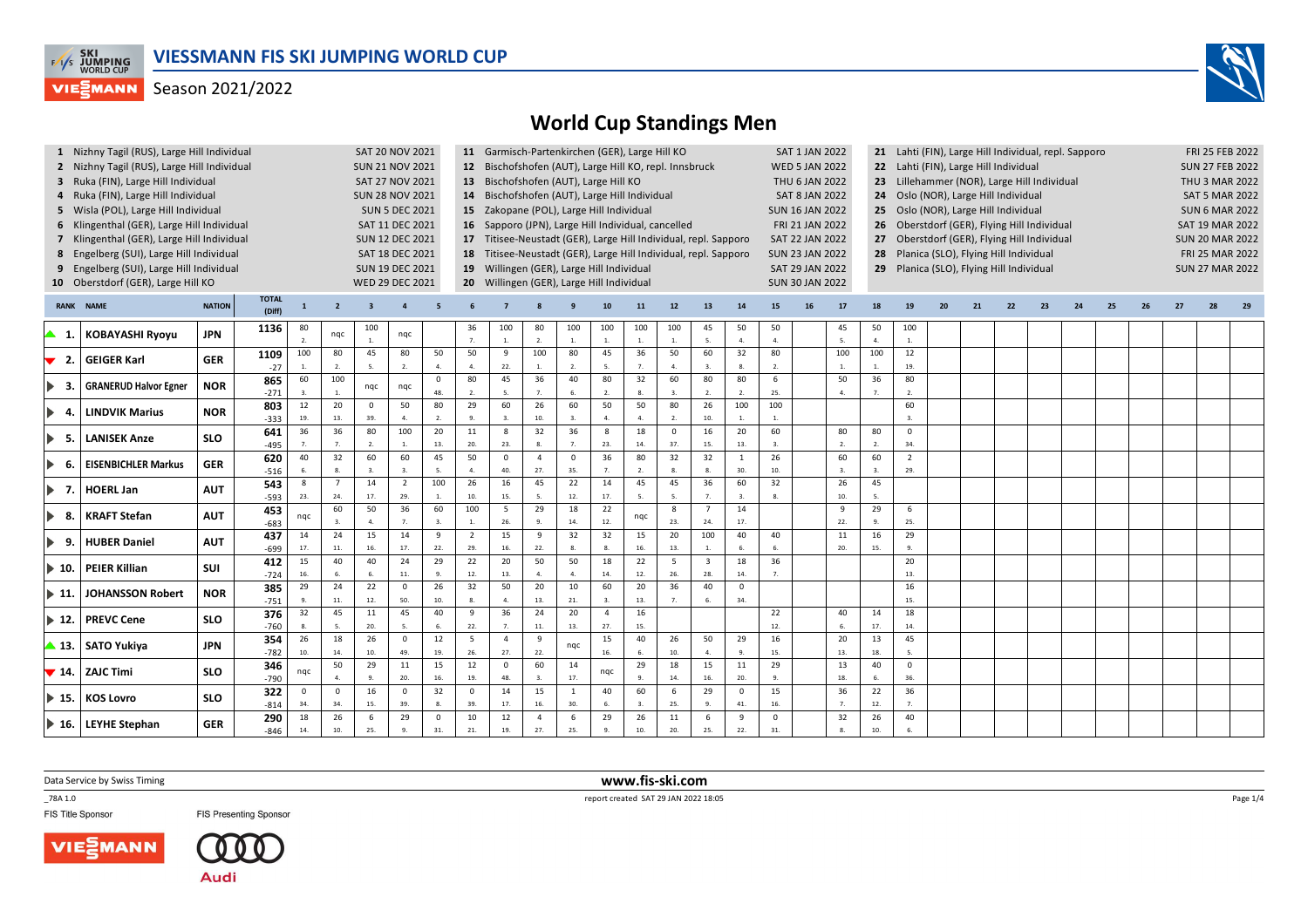



|                               | 1 Nizhny Tagil (RUS), Large Hill Individual |                                                                      |                        |                     |                                                    | SAT 20 NOV 2021        |                    |                    |                                                                                                                                       |                    | 11 Garmisch-Partenkirchen (GER), Large Hill KO         |                    |                        |                       |                                                                 |                                             |                       |                        | SAT 1 JAN 2022         |                 |                        | 21 Lahti (FIN), Large Hill Individual, repl. Sapporo |     | FRI 25 FEB 2022<br><b>SUN 27 FEB 2022</b> |                       |    |    |    |    |  |                       |  |
|-------------------------------|---------------------------------------------|----------------------------------------------------------------------|------------------------|---------------------|----------------------------------------------------|------------------------|--------------------|--------------------|---------------------------------------------------------------------------------------------------------------------------------------|--------------------|--------------------------------------------------------|--------------------|------------------------|-----------------------|-----------------------------------------------------------------|---------------------------------------------|-----------------------|------------------------|------------------------|-----------------|------------------------|------------------------------------------------------|-----|-------------------------------------------|-----------------------|----|----|----|----|--|-----------------------|--|
|                               | 2 Nizhny Tagil (RUS), Large Hill Individual |                                                                      |                        |                     |                                                    | <b>SUN 21 NOV 2021</b> |                    |                    |                                                                                                                                       |                    | 12 Bischofshofen (AUT), Large Hill KO, repl. Innsbruck |                    |                        |                       |                                                                 |                                             |                       |                        | <b>WED 5 JAN 2022</b>  |                 |                        | 22 Lahti (FIN), Large Hill Individual                |     |                                           |                       |    |    |    |    |  |                       |  |
|                               | 3 Ruka (FIN), Large Hill Individual         |                                                                      |                        |                     |                                                    | SAT 27 NOV 2021        |                    |                    |                                                                                                                                       |                    | 13 Bischofshofen (AUT), Large Hill KO                  |                    |                        |                       |                                                                 |                                             |                       |                        | THU 6 JAN 2022         |                 |                        | 23 Lillehammer (NOR), Large Hill Individual          |     |                                           |                       |    |    |    |    |  | <b>THU 3 MAR 2022</b> |  |
| 4                             | Ruka (FIN), Large Hill Individual           | <b>SUN 28 NOV 2021</b>                                               |                        |                     | 14 Bischofshofen (AUT), Large Hill Individual      |                        |                    |                    |                                                                                                                                       |                    |                                                        |                    | <b>SAT 8 JAN 2022</b>  |                       |                                                                 | 24 Oslo (NOR), Large Hill Individual        |                       |                        |                        |                 |                        |                                                      |     |                                           | <b>SAT 5 MAR 2022</b> |    |    |    |    |  |                       |  |
|                               | 5 Wisla (POL), Large Hill Individual        | <b>SUN 5 DEC 2021</b>                                                |                        |                     | 15 Zakopane (POL), Large Hill Individual           |                        |                    |                    |                                                                                                                                       |                    |                                                        |                    | <b>SUN 16 JAN 2022</b> |                       |                                                                 | 25 Oslo (NOR), Large Hill Individual        |                       |                        |                        |                 |                        |                                                      |     |                                           | <b>SUN 6 MAR 2022</b> |    |    |    |    |  |                       |  |
|                               | 6 Klingenthal (GER), Large Hill Individual  | SAT 11 DEC 2021                                                      |                        |                     | 16 Sapporo (JPN), Large Hill Individual, cancelled |                        |                    |                    |                                                                                                                                       |                    |                                                        |                    | FRI 21 JAN 2022        |                       |                                                                 | 26 Oberstdorf (GER), Flying Hill Individual |                       |                        |                        | SAT 19 MAR 2022 |                        |                                                      |     |                                           |                       |    |    |    |    |  |                       |  |
|                               |                                             | 7 Klingenthal (GER), Large Hill Individual<br><b>SUN 12 DEC 2021</b> |                        |                     |                                                    |                        |                    |                    |                                                                                                                                       |                    |                                                        |                    |                        |                       | 17 Titisee-Neustadt (GER), Large Hill Individual, repl. Sapporo |                                             |                       |                        | <b>SAT 22 JAN 2022</b> |                 |                        | 27 Oberstdorf (GER), Flying Hill Individual          |     | <b>SUN 20 MAR 2022</b>                    |                       |    |    |    |    |  |                       |  |
|                               | 8 Engelberg (SUI), Large Hill Individual    |                                                                      |                        |                     |                                                    |                        | SAT 18 DEC 2021    |                    | 18 Titisee-Neustadt (GER), Large Hill Individual, repl. Sapporo<br><b>SUN 23 JAN 2022</b><br>28 Planica (SLO), Flying Hill Individual |                    |                                                        |                    |                        |                       |                                                                 |                                             |                       |                        |                        |                 |                        |                                                      |     |                                           | FRI 25 MAR 2022       |    |    |    |    |  |                       |  |
| 9                             | Engelberg (SUI), Large Hill Individual      |                                                                      |                        |                     |                                                    | <b>SUN 19 DEC 2021</b> |                    |                    | 19 Willingen (GER), Large Hill Individual                                                                                             |                    |                                                        |                    |                        |                       |                                                                 |                                             |                       |                        | SAT 29 JAN 2022        |                 |                        | 29 Planica (SLO), Flying Hill Individual             |     | <b>SUN 27 MAR 2022</b>                    |                       |    |    |    |    |  |                       |  |
|                               | 10 Oberstdorf (GER), Large Hill KO          |                                                                      |                        |                     |                                                    | WED 29 DEC 2021        |                    |                    |                                                                                                                                       |                    | 20 Willingen (GER), Large Hill Individual              |                    |                        |                       |                                                                 |                                             |                       |                        | <b>SUN 30 JAN 2022</b> |                 |                        |                                                      |     |                                           |                       |    |    |    |    |  |                       |  |
| <b>RANK</b>                   | <b>NAME</b>                                 | <b>NATION</b>                                                        | <b>TOTAL</b><br>(Diff) | $\mathbf{1}$        | $\overline{2}$                                     | -3                     |                    |                    |                                                                                                                                       |                    |                                                        |                    | 10                     | 11                    | 12                                                              | 13                                          | 14                    | 15                     | 16                     | 17              | 18                     | 19                                                   | -20 | 21                                        | 22                    | 23 | 24 | 25 | 26 |  |                       |  |
| ▲ 1.                          | <b>KOBAYASHI Ryoyu</b>                      | <b>JPN</b>                                                           | 1136                   | 80<br>$\mathcal{L}$ | nqc                                                | 100<br>$\mathbf{1}$    | nqc                |                    | 36<br>7.                                                                                                                              | 100<br>$1. \,$     | 80<br>2.                                               | 100<br>1.          | 100<br>1.              | 100<br>$\mathbf{1}$ . | 100<br>$\mathbf{1}$                                             | 45<br>$\mathbf{S}$                          | 50<br>$\overline{a}$  | 50<br>4.               |                        | 45<br>5.        | 50<br>$\overline{4}$ . | 100<br>1.                                            |     |                                           |                       |    |    |    |    |  |                       |  |
|                               |                                             |                                                                      | 1109                   | 100                 | 80                                                 | 45                     | 80                 | 50                 | 50                                                                                                                                    | 9                  | 100                                                    | 80                 | 45                     | 36                    | 50                                                              | 60                                          | 32                    | 80                     |                        | 100             | 100                    | 12                                                   |     |                                           |                       |    |    |    |    |  |                       |  |
| 2.<br>▼                       | <b>GEIGER Karl</b>                          | <b>GER</b>                                                           | $-27$                  | $1$ .               | 2.                                                 | -5.                    | $\overline{2}$ .   | $\overline{a}$     | $\overline{a}$                                                                                                                        | 22.                | $\overline{1}$                                         | $\mathcal{L}$      | -5.                    | $\overline{7}$        | $\overline{a}$                                                  | $\overline{3}$                              | 8.                    | 2.                     |                        |                 | $\overline{1}$         | 19.                                                  |     |                                           |                       |    |    |    |    |  |                       |  |
| -3.                           | <b>GRANERUD Halvor Egner</b>                | <b>NOR</b>                                                           | 865                    | 60                  | 100                                                | nqc                    | nqc                | $\mathbf 0$        | 80                                                                                                                                    | 45                 | 36                                                     | 40                 | 80                     | 32                    | 60                                                              | 80                                          | 80                    | 6                      |                        | 50              | 36                     | 80                                                   |     |                                           |                       |    |    |    |    |  |                       |  |
|                               |                                             |                                                                      | $-271$                 |                     |                                                    |                        |                    | 48.                | $\overline{2}$ .                                                                                                                      |                    |                                                        |                    | $\overline{2}$         |                       |                                                                 | $\overline{2}$                              | $\overline{2}$        | 25.                    |                        | 4.              | $\overline{7}$         | 2.                                                   |     |                                           |                       |    |    |    |    |  |                       |  |
| ▶<br>-4.                      | <b>LINDVIK Marius</b>                       | <b>NOR</b>                                                           | 803                    | 12                  | 20                                                 | $\circ$                | 50                 | 80                 | 29                                                                                                                                    | 60                 | 26                                                     | 60                 | 50                     | 50                    | 80                                                              | 26                                          | 100                   | 100                    |                        |                 |                        | 60                                                   |     |                                           |                       |    |    |    |    |  |                       |  |
|                               |                                             |                                                                      | $-333$                 | 19.                 | 13.                                                | 39.                    | $\mathbf{A}$       | $\overline{2}$     | $\mathbf{q}$                                                                                                                          | $\mathbf{3}$       | 10.                                                    | $\overline{3}$     | $\mathbf{A}$           | 4.                    | $\overline{2}$                                                  | 10.                                         | $\overline{1}$        | $\overline{1}$         |                        |                 |                        | 3.                                                   |     |                                           |                       |    |    |    |    |  |                       |  |
| - 5.<br>$\blacktriangleright$ | <b>LANISEK Anze</b>                         | <b>SLO</b>                                                           | 641<br>$-495$          | 36                  | 36<br>7.                                           | 80<br>2.               | 100<br>1.          | 20<br>13.          | 11<br>20.                                                                                                                             | 8<br>23.           | 32                                                     | 36                 | 8<br>23.               | 18<br>14.             | $\mathbf 0$<br>37.                                              | 16<br>15.                                   | 20<br>13.             | 60<br>$\overline{3}$ . |                        | 80<br>2.        | 80<br>2.               | $\mathbf 0$<br>34.                                   |     |                                           |                       |    |    |    |    |  |                       |  |
| - 6.                          | <b>EISENBICHLER Markus</b>                  | <b>GER</b>                                                           | 620<br>$-516$          | 40                  | 32<br>8.                                           | 60<br>3.               | 60                 | 45                 | 50                                                                                                                                    | $\mathbf 0$<br>40. | $\overline{4}$<br>27.                                  | $\mathbf 0$<br>35. | 36                     | 80<br>$\overline{2}$  | 32                                                              | 32                                          | <sup>1</sup><br>30    | 26<br>10.              |                        | 60              | 60                     | $\overline{2}$<br>29.                                |     |                                           |                       |    |    |    |    |  |                       |  |
|                               |                                             |                                                                      | 543                    | 8                   | $\overline{7}$                                     | 14                     | $\overline{2}$     | 100                | 26                                                                                                                                    | 16                 | 45                                                     | 22                 | 14                     | 45                    | 45                                                              | 36                                          | 60                    | 32                     |                        | 26              | 45                     |                                                      |     |                                           |                       |    |    |    |    |  |                       |  |
| 1▶ 7.                         | <b>HOERL Jan</b>                            | <b>AUT</b>                                                           | $-593$                 | 23.                 | 24.                                                | 17.                    | 29.                | 1.                 | 10.                                                                                                                                   | 15.                | -5.                                                    | 12.                | 17.                    | 5.                    | 5                                                               | $\overline{7}$                              | $\overline{3}$        | 8.                     |                        | 10.             | 5.                     |                                                      |     |                                           |                       |    |    |    |    |  |                       |  |
|                               | <b>KRAFT Stefan</b>                         | <b>AUT</b>                                                           | 453                    |                     | 60                                                 | 50                     | 36                 | 60                 | 100                                                                                                                                   | 5                  | 29                                                     | 18                 | 22                     |                       | 8                                                               | $\overline{7}$                              | 14                    |                        |                        | 9               | 29                     | 6                                                    |     |                                           |                       |    |    |    |    |  |                       |  |
| -8.                           |                                             |                                                                      | $-683$                 | nqc                 | 3.                                                 | $\overline{a}$         | 7.                 | $\overline{3}$ .   | $\overline{1}$                                                                                                                        | 26.                | $\mathbf{q}$                                           | 14.                | 12.                    | nqc                   | 23.                                                             | 24.                                         | 17.                   |                        |                        | 22.             | $\mathbf{q}$           | 25.                                                  |     |                                           |                       |    |    |    |    |  |                       |  |
| 9.                            | <b>HUBER Daniel</b>                         | <b>AUT</b>                                                           | 437                    | 14                  | 24                                                 | 15                     | 14                 | 9                  | $\overline{2}$                                                                                                                        | 15                 | 9                                                      | 32                 | 32                     | 15                    | 20                                                              | 100                                         | 40                    | 40                     |                        | 11              | 16                     | 29                                                   |     |                                           |                       |    |    |    |    |  |                       |  |
|                               |                                             |                                                                      | $-699$                 | 17.                 | $\mathbf{11}.$                                     | 16.                    | 17.                | 22.                | 29.                                                                                                                                   | 16.                | 22.                                                    |                    |                        | 16.                   | 13.                                                             |                                             |                       |                        |                        | 20.             | 15.                    | 9.                                                   |     |                                           |                       |    |    |    |    |  |                       |  |
| $\blacktriangleright$ 10.     | <b>PEIER Killian</b>                        | <b>SUI</b>                                                           | 412                    | 15<br>16.           | 40<br>6.                                           | 40<br>6.               | 24<br>11.          | 29<br>9.           | 22<br>12.                                                                                                                             | 20<br>13.          | 50<br>$\overline{a}$                                   | 50<br>$\mathbf{A}$ | 18<br>14.              | 22<br>12.             | 5<br>26.                                                        | $\overline{\mathbf{3}}$<br>28.              | 18<br>14.             | 36                     |                        |                 |                        | 20<br>13.                                            |     |                                           |                       |    |    |    |    |  |                       |  |
|                               |                                             |                                                                      | $-724$<br>385          | 29                  | 24                                                 | 22                     | $\mathbf{0}$       | 26                 | 32                                                                                                                                    | 50                 | 20                                                     | 10                 | 60                     | 20                    | 36                                                              | 40                                          | $\mathbf 0$           |                        |                        |                 |                        | 16                                                   |     |                                           |                       |    |    |    |    |  |                       |  |
| $\blacktriangleright$ 11.     | <b>JOHANSSON Robert</b>                     | <b>NOR</b>                                                           | $-751$                 | Q                   | $11.$                                              | 12.                    | 50.                | 10.                |                                                                                                                                       | $\mathbf{4}$       | 13.                                                    | 21.                |                        | 13.                   |                                                                 |                                             | 34.                   |                        |                        |                 |                        | 15.                                                  |     |                                           |                       |    |    |    |    |  |                       |  |
|                               |                                             |                                                                      | 376                    | 32                  | 45                                                 | $11\,$                 | 45                 | 40                 | 9                                                                                                                                     | 36                 | 24                                                     | 20                 | $\overline{4}$         | 16                    |                                                                 |                                             |                       | 22                     |                        | 40              | 14                     | 18                                                   |     |                                           |                       |    |    |    |    |  |                       |  |
| $\blacktriangleright$ 12.     | <b>PREVC Cene</b>                           | <b>SLO</b>                                                           | $-760$                 |                     |                                                    | 20.                    |                    |                    | 22.                                                                                                                                   |                    | 11.                                                    | 13.                | 27.                    | 15.                   |                                                                 |                                             |                       | 12.                    |                        | 6.              | 17.                    | 14.                                                  |     |                                           |                       |    |    |    |    |  |                       |  |
|                               |                                             | <b>JPN</b>                                                           | 354                    | 26                  | 18                                                 | 26                     | $\mathsf 0$        | 12                 | 5                                                                                                                                     | $\overline{4}$     | 9                                                      |                    | 15                     | 40                    | 26                                                              | 50                                          | 29                    | 16                     |                        | 20              | 13                     | 45                                                   |     |                                           |                       |    |    |    |    |  |                       |  |
|                               | ▲ 13. SATO Yukiya                           |                                                                      | $-782$                 | 10.                 | 14.                                                | 10.                    | 49.                | 19.                | 26.                                                                                                                                   | 27.                | 22.                                                    | ngc                | 16.                    | 6.                    | 10.                                                             | $\overline{a}$                              | $\mathbf{q}$          | 15.                    |                        | 13.             | 18                     | 5.                                                   |     |                                           |                       |    |    |    |    |  |                       |  |
|                               | $\blacktriangledown$ 14.   ZAJC Timi        | <b>SLO</b>                                                           | 346                    | nqc                 | 50                                                 | 29                     | 11                 | 15                 | $\overline{12}$                                                                                                                       | $\Omega$           | 60                                                     | 14                 | nqc                    | 29                    | 18                                                              | 15                                          | 11                    | 29                     |                        | 13              | 40                     | $\mathbf 0$                                          |     |                                           |                       |    |    |    |    |  |                       |  |
|                               |                                             |                                                                      | $-790$                 |                     | 4.                                                 | 9.                     | 20.                | 16.                | 19.                                                                                                                                   | 48.                | $\overline{\mathbf{3}}$                                | 17.                |                        | 9.                    | 14.                                                             | 16.                                         | 20.                   | 9.                     |                        | 18.             | 6.                     | 36.                                                  |     |                                           |                       |    |    |    |    |  |                       |  |
| $\blacktriangleright$ 15.     | KOS Lovro                                   | <b>SLO</b>                                                           | 322                    | $\mathbf{0}$        | $\mathbf{0}$                                       | 16                     | $\mathbf 0$        | 32                 | $\mathbf 0$                                                                                                                           | 14                 | 15                                                     | <sup>1</sup>       | 40                     | 60                    | 6                                                               | 29                                          | $\mathbf 0$           | 15                     |                        | 36              | 22                     | 36                                                   |     |                                           |                       |    |    |    |    |  |                       |  |
|                               |                                             |                                                                      | $-814$                 | 34.                 | 34.                                                | 15.                    | 39.                |                    | 39.                                                                                                                                   | 17.                | 16.<br>$\overline{4}$                                  | 30.                |                        |                       | 25.                                                             |                                             | 41.<br>$\overline{9}$ | 16.<br>$\mathbf 0$     |                        | 7 <sup>2</sup>  | 12.                    | 7.                                                   |     |                                           |                       |    |    |    |    |  |                       |  |
|                               | $\blacktriangleright$ 16. LEYHE Stephan     | <b>GER</b>                                                           | 290<br>$-846$          | 18<br>14.           | 26<br>10.                                          | 6<br>25.               | 29<br>$\mathbf{q}$ | $\mathsf 0$<br>31. | 10<br>21.                                                                                                                             | 12<br>19.          | 27.                                                    | 6<br>25.           | 29                     | 26<br>10.             | $11\,$<br>20.                                                   | 6<br>25.                                    | 22.                   | 31.                    |                        | 32<br>8.        | 26<br>10.              | 40<br>6.                                             |     |                                           |                       |    |    |    |    |  |                       |  |

Data Service by Swiss Timing

\_78A 1.0

FIS Title Sponsor





**FIS Presenting Sponsor** 

 **www.fis-ski.com**report created SAT 29 JAN 2022 18:05

Page 1/4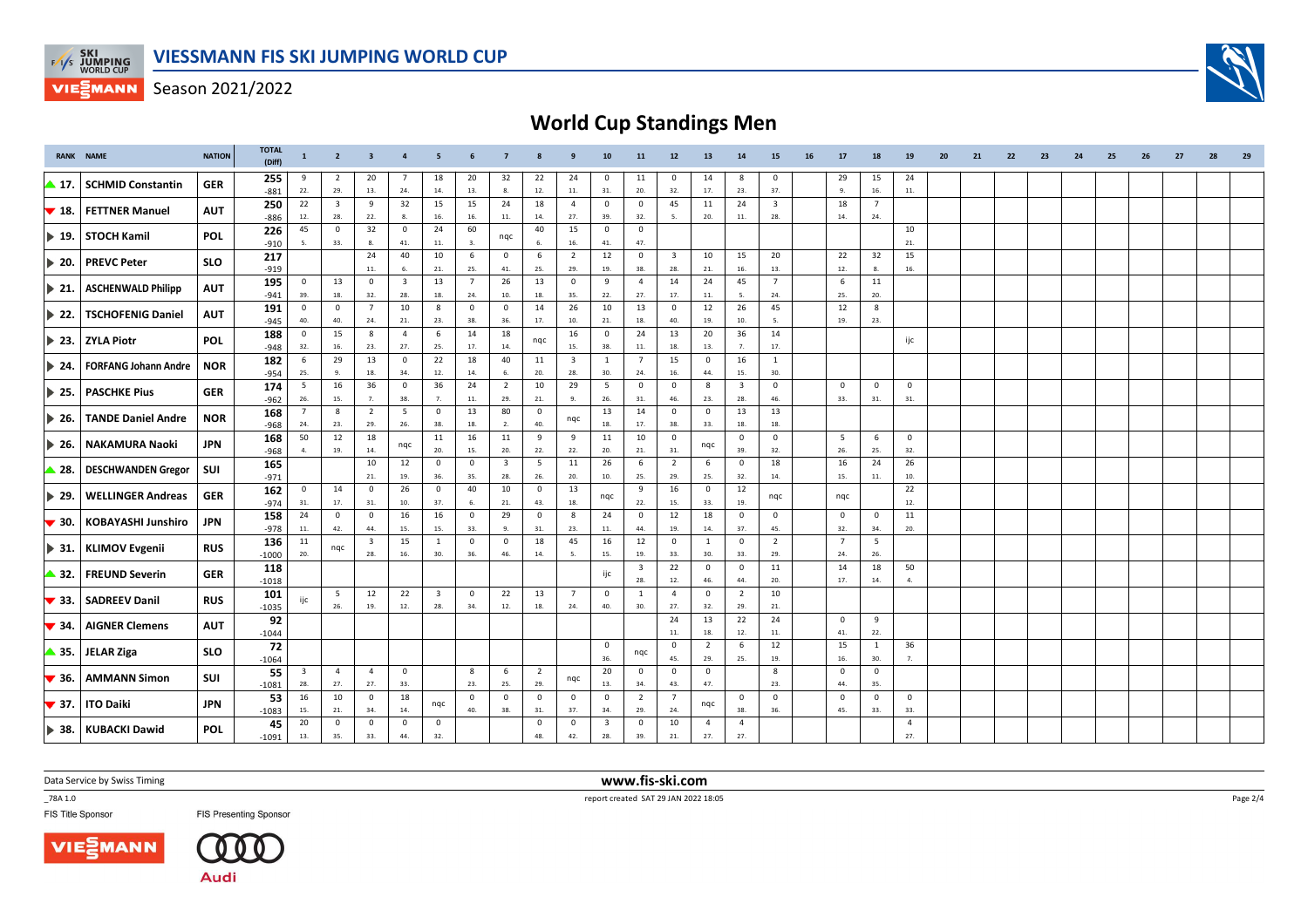

# **World Cup Standings Men**

|                           | <b>RANK NAME</b>            | <b>NATION</b> | <b>TOTAL</b><br>(Diff) | $\mathbf{1}$            | $\overline{2}$          | $\overline{\mathbf{3}}$ | $\overline{4}$                | - 5                            | 6                      | $\overline{7}$          | 8                     | 9                              | 10                             | 11                      | 12                      | 13                    | 14                             | 15                      | 16 | 17                    | 18                    | 19                    | 20 | 21 | 22 | 23 | 24 | 25 | 26 | 27 | 28 | 29 |
|---------------------------|-----------------------------|---------------|------------------------|-------------------------|-------------------------|-------------------------|-------------------------------|--------------------------------|------------------------|-------------------------|-----------------------|--------------------------------|--------------------------------|-------------------------|-------------------------|-----------------------|--------------------------------|-------------------------|----|-----------------------|-----------------------|-----------------------|----|----|----|----|----|----|----|----|----|----|
| ▲ 17.                     | <b>SCHMID Constantin</b>    | <b>GER</b>    | 255<br>$-881$          | 9<br>22.                | $\overline{2}$<br>29.   | 20<br>13.               | $\overline{7}$<br>24.         | 18<br>14.                      | 20<br>13.              | 32<br>8.                | 22<br>12.             | 24<br>11.                      | 0<br>31.                       | 11<br>20.               | $^{\circ}$<br>32.       | 14<br>17.             | 8<br>23.                       | 0<br>37.                |    | 29<br>-9.             | 15<br>16.             | 24<br>11.             |    |    |    |    |    |    |    |    |    |    |
| $\blacktriangledown$ 18.  | <b>FETTNER Manuel</b>       | <b>AUT</b>    | 250                    | 22                      | $\overline{\mathbf{3}}$ | 9                       | 32                            | 15                             | 15                     | 24                      | 18                    | $\overline{4}$                 | $\mathbf{0}$                   | $^{\circ}$              | 45                      | 11                    | 24                             | $\overline{\mathbf{3}}$ |    | 18                    | $\overline{7}$        |                       |    |    |    |    |    |    |    |    |    |    |
|                           |                             |               | $-886$<br>226          | 12.<br>45               | 28.<br>$\mathbf 0$      | 22.<br>32               | 8.<br>$\mathbf{0}$            | 16.<br>24                      | 16.<br>60              | 11.                     | 14.<br>40             | 27.<br>15                      | 39.<br>$\overline{0}$          | 32.<br>$\mathbf 0$      |                         | 20.                   | 11.                            | 28.                     |    | 14.                   | 24.                   | 10                    |    |    |    |    |    |    |    |    |    |    |
| $\blacktriangleright$ 19. | <b>STOCH Kamil</b>          | <b>POL</b>    | $-910$                 | 5.                      | 33.                     | 8.                      | 41.                           | 11.                            | 3.                     | nqc                     | -6.                   | 16.                            | 41.                            | 47.                     |                         |                       |                                |                         |    |                       |                       | 21.                   |    |    |    |    |    |    |    |    |    |    |
| $\blacktriangleright$ 20. | <b>PREVC Peter</b>          | <b>SLO</b>    | 217                    |                         |                         | 24                      | 40                            | 10                             | 6                      | $\circ$                 | 6                     | $\overline{2}$                 | 12                             | $\circ$                 | $\overline{\mathbf{3}}$ | 10                    | 15                             | 20                      |    | 22                    | 32                    | 15                    |    |    |    |    |    |    |    |    |    |    |
|                           |                             |               | $-919$<br>195          | $\mathbf 0$             | 13                      | $11.$<br>$\mathbf 0$    | 6.<br>$\overline{\mathbf{3}}$ | 21.<br>13                      | 25.<br>$7\overline{ }$ | 41.<br>26               | 25.<br>13             | 29.<br>$\overline{\mathbf{0}}$ | 19.<br>9                       | 38.<br>$\overline{4}$   | 28.<br>14               | 21.<br>24             | 16.<br>45                      | 13.<br>$\overline{7}$   |    | 12.<br>6              | 8.<br>11              | 16.                   |    |    |    |    |    |    |    |    |    |    |
| $\triangleright$ 21.      | <b>ASCHENWALD Philipp</b>   | <b>AUT</b>    | $-941$                 | 39.                     | 18.                     | 32.                     | 28.                           | 18.                            | 24.                    | 10.                     | 18.                   | 35.                            | 22.                            | 27.                     | 17.                     | 11.                   | -5.                            | 24.                     |    | 25.                   | 20.                   |                       |    |    |    |    |    |    |    |    |    |    |
| $\triangleright$ 22.      | <b>TSCHOFENIG Daniel</b>    | <b>AUT</b>    | 191                    | $\mathbf 0$             | $\mathbf 0$             | $\overline{7}$          | 10                            | 8                              | $\mathbf 0$            | $\mathbf 0$             | 14                    | 26                             | 10                             | 13                      | $\mathbf 0$             | 12                    | 26                             | 45                      |    | 12                    | 8                     |                       |    |    |    |    |    |    |    |    |    |    |
|                           |                             |               | $-945$<br>188          | 40.<br>$\mathbf 0$      | 40.<br>15               | 24.<br>8                | 21.<br>$\overline{4}$         | 23.<br>6                       | 38.<br>14              | 36.<br>18               | 17.                   | 10.<br>16                      | 21.<br>$\mathbf{0}$            | 18.<br>24               | 40.<br>13               | 19.<br>20             | 10.<br>36                      | 5.<br>14                |    | 19.                   | 23.                   |                       |    |    |    |    |    |    |    |    |    |    |
| $\blacktriangleright$ 23. | <b>ZYLA Piotr</b>           | <b>POL</b>    | -948                   | 32.                     | 16.                     | 23.                     | 27.                           | 25.                            | 17.                    | 14.                     | ngc                   | 15.                            | 38.                            | 11.                     | 18.                     | 13.                   | 7.                             | 17.                     |    |                       |                       | ijc                   |    |    |    |    |    |    |    |    |    |    |
| $\blacktriangleright$ 24. | <b>FORFANG Johann Andre</b> | <b>NOR</b>    | 182                    | 6                       | 29                      | 13                      | $\mathsf 0$                   | 22                             | 18                     | 40                      | 11                    | $\overline{\mathbf{3}}$        | 1                              | $\overline{7}$          | 15                      | $\mathbf 0$           | 16                             | $\mathbf{1}$            |    |                       |                       |                       |    |    |    |    |    |    |    |    |    |    |
|                           |                             |               | $-954$                 | 25.                     | -9                      | 18.                     | 34.                           | 12.                            | 14.                    | 6.                      | 20.                   | 28.                            | 30.                            | 24.                     | 16.                     | 44.                   | 15.                            | 30.                     |    |                       |                       |                       |    |    |    |    |    |    |    |    |    |    |
| $\triangleright$ 25.      | <b>PASCHKE Pius</b>         | <b>GER</b>    | 174<br>$-962$          | 5<br>26.                | 16<br>15.               | 36<br>7.                | $\mathsf 0$<br>38.            | 36<br>7.                       | 24<br>$\bf 11.$        | 2<br>29.                | 10<br>21.             | 29<br>9.                       | 5<br>26.                       | $\mathbf 0$<br>31.      | $\mathbf 0$<br>46.      | 8<br>23.              | $\overline{\mathbf{3}}$<br>28. | $\mathbf 0$<br>46.      |    | $\mathbf 0$<br>33.    | $\mathbf 0$<br>31.    | $\mathbf 0$<br>31.    |    |    |    |    |    |    |    |    |    |    |
| $\blacktriangleright$ 26. | <b>TANDE Daniel Andre</b>   | <b>NOR</b>    | 168                    | 7                       | 8                       | $\overline{2}$          | 5                             | $\mathbf 0$                    | 13                     | 80                      | $\mathbf{0}$          | nqc                            | 13                             | 14                      | $\mathbf 0$             | $\mathbf 0$           | 13                             | 13                      |    |                       |                       |                       |    |    |    |    |    |    |    |    |    |    |
|                           |                             |               | $-968$                 | 24.<br>50               | 23.<br>12               | 29.<br>18               | 26.                           | 38.<br>11                      | 18.<br>16              | 2.<br>11                | 40.<br>9              | 9                              | 18.<br>11                      | 17.<br>10               | 38.<br>$\overline{0}$   | 33.                   | 18.<br>$\overline{0}$          | 18.<br>$^{\circ}$       |    | 5                     | 6                     | $\mathbf 0$           |    |    |    |    |    |    |    |    |    |    |
| $\blacktriangleright$ 26. | <b>NAKAMURA Naoki</b>       | JPN           | 168<br>$-968$          | $\mathbf{4}$            | 19.                     | 14.                     | nqc                           | 20.                            | 15.                    | 20.                     | 22.                   | 22.                            | 20.                            | 21.                     | 31.                     | ngc                   | 39.                            | 32.                     |    | 26.                   | 25.                   | 32.                   |    |    |    |    |    |    |    |    |    |    |
| $\triangle$ 28.           | <b>DESCHWANDEN Gregor</b>   | SUI           | 165                    |                         |                         | 10                      | 12                            | $\circ$                        | $\mathbf 0$            | $\overline{\mathbf{3}}$ | 5                     | 11                             | 26                             | 6                       | $\overline{2}$          | 6                     | $\mathbf 0$                    | 18                      |    | 16                    | 24                    | 26                    |    |    |    |    |    |    |    |    |    |    |
|                           |                             |               | $-971$<br>162          | $^{\circ}$              | 14                      | 21.<br>$^{\circ}$       | 19.<br>26                     | 36.<br>$\mathbf 0$             | 35.<br>40              | 28.<br>10               | 26.<br>$\mathbf{0}$   | 20.<br>13                      | 10.                            | 25.<br>9                | 29.<br>16               | 25.<br>$\overline{0}$ | 32.<br>12                      | 14.                     |    | 15.                   | 11.                   | 10.<br>22             |    |    |    |    |    |    |    |    |    |    |
| 1▶ 29.                    | <b>WELLINGER Andreas</b>    | <b>GER</b>    | $-974$                 | 31.                     | 17.                     | 31.                     | 10.                           | 37.                            | 6.                     | 21.                     | 43.                   | 18.                            | nqc                            | 22.                     | 15.                     | 33.                   | 19.                            | nqc                     |    | ngc                   |                       | 12.                   |    |    |    |    |    |    |    |    |    |    |
| $\blacktriangledown$ 30.  | <b>KOBAYASHI Junshiro</b>   | JPN           | 158                    | 24                      | $\mathbf 0$             | $^{\circ}$              | 16                            | 16                             | $\overline{0}$         | 29                      | $\mathbf 0$           | - 8                            | 24                             | $\overline{\mathbf{0}}$ | 12                      | 18                    | $\mathbf 0$                    | $\mathbf 0$             |    | $\mathbf 0$           | $\overline{0}$        | 11                    |    |    |    |    |    |    |    |    |    |    |
|                           |                             |               | $-978$                 | 11.                     | 42.                     | 44.<br>$\overline{3}$   | 15.                           | 15.<br>$\mathbf{1}$            | 33.<br>$\mathbf 0$     | 9.                      | 31.                   | 23.<br>45                      | 11.                            | 44.                     | 19.<br>$\overline{0}$   | 14.                   | 37.                            | 45.                     |    | 32.<br>$\overline{7}$ | 34.                   | 20.                   |    |    |    |    |    |    |    |    |    |    |
| $\blacktriangleright$ 31. | <b>KLIMOV Evgenii</b>       | <b>RUS</b>    | 136<br>$-1000$         | 11<br>20.               | ngc                     | 28.                     | 15<br>16.                     | 30.                            | 36.                    | $\mathbf 0$<br>46.      | 18<br>14.             | 5.                             | 16<br>15.                      | 12<br>19.               | 33.                     | <sup>1</sup><br>30.   | $\mathbf 0$<br>33.             | $\overline{2}$<br>29.   |    | 24.                   | 5<br>26.              |                       |    |    |    |    |    |    |    |    |    |    |
| $\triangle$ 32.           | <b>FREUND Severin</b>       | <b>GER</b>    | 118                    |                         |                         |                         |                               |                                |                        |                         |                       |                                |                                | $\overline{\mathbf{3}}$ | 22                      | $\overline{0}$        | $\mathbf 0$                    | 11                      |    | 14                    | 18                    | 50                    |    |    |    |    |    |    |    |    |    |    |
|                           |                             |               | $-1018$                |                         |                         |                         |                               |                                |                        |                         |                       |                                | ijc                            | 28.                     | 12.                     | 46.                   | 44.                            | 20.                     |    | 17.                   | 14.                   | $\mathbf{A}$          |    |    |    |    |    |    |    |    |    |    |
| $\blacktriangledown$ 33.  | <b>SADREEV Danil</b>        | <b>RUS</b>    | 101<br>$-1035$         |                         | 5<br>26.                | 12<br>19.               | 22<br>12.                     | $\overline{\mathbf{3}}$<br>28. | $\overline{0}$<br>34.  | 22<br>12.               | 13<br>18.             | $\overline{7}$<br>24.          | $\overline{0}$<br>40.          | 1<br>30.                | $\overline{4}$<br>27.   | $\mathbf 0$<br>32.    | $\overline{2}$<br>29.          | 10<br>21.               |    |                       |                       |                       |    |    |    |    |    |    |    |    |    |    |
|                           |                             |               | 92                     |                         |                         |                         |                               |                                |                        |                         |                       |                                |                                |                         | 24                      | 13                    | 22                             | 24                      |    | $\mathbf 0$           | 9                     |                       |    |    |    |    |    |    |    |    |    |    |
| $\blacktriangledown$ 34.  | <b>AIGNER Clemens</b>       | <b>AUT</b>    | $-1044$                |                         |                         |                         |                               |                                |                        |                         |                       |                                |                                |                         | 11.                     | 18.                   | 12.                            | 11.                     |    | 41.                   | 22.                   |                       |    |    |    |    |    |    |    |    |    |    |
| ▲ 35.                     | <b>JELAR Ziga</b>           | <b>SLO</b>    | 72                     |                         |                         |                         |                               |                                |                        |                         |                       |                                | $\mathbf 0$                    | nqc                     | $\mathbf{0}$            | $\overline{2}$        | 6                              | 12                      |    | 15                    | <sup>1</sup>          | 36                    |    |    |    |    |    |    |    |    |    |    |
|                           |                             |               | $-1064$<br>55          | $\overline{\mathbf{3}}$ | $\overline{4}$          | $\overline{4}$          | $\mathsf 0$                   |                                | 8                      | 6                       | $\overline{2}$        |                                | 36.<br>20                      | $\mathbf 0$             | 45.<br>$\mathbf 0$      | 29.<br>$\mathbf 0$    | 25.                            | 19.<br>8                |    | 16.<br>$\mathbf{0}$   | 30.<br>$\overline{0}$ | 7.                    |    |    |    |    |    |    |    |    |    |    |
| $\blacktriangledown$ 36.  | <b>AMMANN Simon</b>         | SUI           | $-1081$                | 28.                     | 27.                     | 27.                     | 33.                           |                                | 23.                    | 25.                     | 29.                   | nqc                            | 13.                            | 34.                     | 43.                     | 47.                   |                                | 23.                     |    | 44.                   | 35.                   |                       |    |    |    |    |    |    |    |    |    |    |
| $\blacktriangledown$ 37.  | <b>ITO Daiki</b>            | <b>JPN</b>    | 53                     | 16                      | 10                      | $^{\circ}$              | 18                            | nqc                            | $\mathbf 0$            | $\mathbf{0}$            | $\mathbf 0$           | $\overline{0}$                 | $\overline{\mathbf{0}}$        | $\overline{2}$          | $\overline{7}$          | nqc                   | $\mathbf 0$                    | $\mathbf 0$             |    | $\mathbf 0$           | $^{\circ}$            | $^{\circ}$            |    |    |    |    |    |    |    |    |    |    |
|                           |                             |               | $-1083$                | 15.<br>20               | 21.<br>$^{\circ}$       | 34.<br>$\mathbf 0$      | 14.<br>0                      | $\mathbf 0$                    | 40.                    | 38.                     | 31.<br>$\overline{0}$ | 37.<br>$\overline{\mathbf{0}}$ | 34.<br>$\overline{\mathbf{3}}$ | 29.<br>$\mathbf 0$      | 24.<br>10               | $\overline{4}$        | 38.<br>$\overline{a}$          | 36.                     |    | 45.                   | 33.                   | 33.<br>$\overline{4}$ |    |    |    |    |    |    |    |    |    |    |
|                           | 38. KUBACKI Dawid           | <b>POL</b>    | 45<br>$-1091$          | 13.                     | 35.                     | 33.                     | 44.                           | 32.                            |                        |                         | 48.                   | 42.                            | 28.                            | 39.                     | 21.                     | 27.                   | 27.                            |                         |    |                       |                       | 27.                   |    |    |    |    |    |    |    |    |    |    |

Data Service by Swiss Timing

\_78A 1.0

FIS Title Sponsor





**FIS Presenting Sponsor** 

 **www.fis-ski.com**report created SAT 29 JAN 2022 18:05

Page 2/4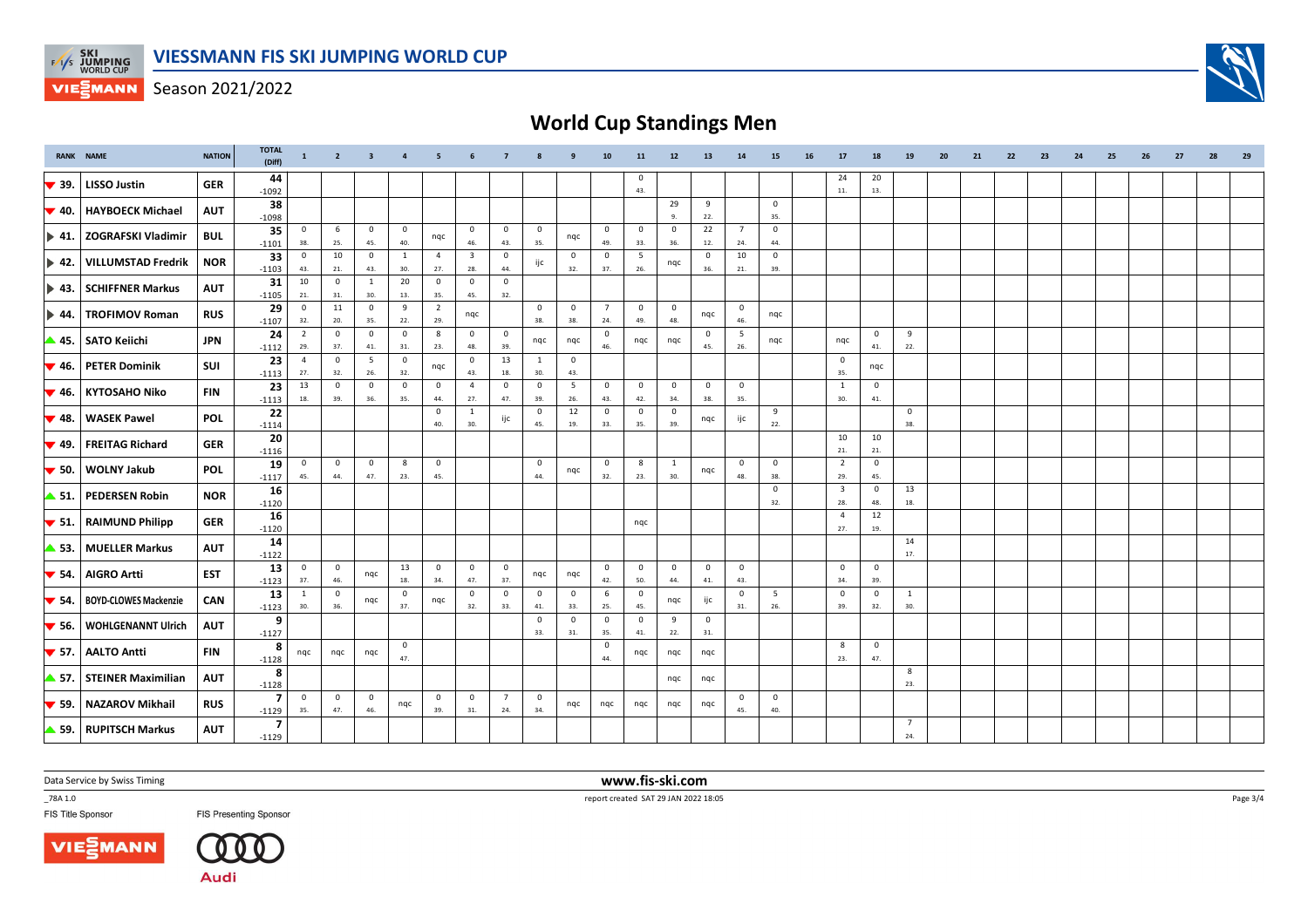

## **World Cup Standings Men**

|                           | <b>RANK NAME</b>             | <b>NATION</b> | <b>TOTAL</b><br>(Diff)    | $\mathbf{1}$          | $\overline{2}$      | $\overline{\mathbf{3}}$ | $\overline{a}$      | 5                     |                                | $\overline{7}$        |                                | 9                     | 10                    | 11                  | 12                  | 13                             | 14                             | 15                 | 16 | 17                             | 18                         | 19                    | 20 | 21 | 22 | 23 | 24 | 25 | 26 | 27 | 28 | 29 |
|---------------------------|------------------------------|---------------|---------------------------|-----------------------|---------------------|-------------------------|---------------------|-----------------------|--------------------------------|-----------------------|--------------------------------|-----------------------|-----------------------|---------------------|---------------------|--------------------------------|--------------------------------|--------------------|----|--------------------------------|----------------------------|-----------------------|----|----|----|----|----|----|----|----|----|----|
| $\blacktriangledown$ 39.  | <b>LISSO Justin</b>          | <b>GER</b>    | 44<br>$-1092$             |                       |                     |                         |                     |                       |                                |                       |                                |                       |                       | $^{\circ}$<br>43.   |                     |                                |                                |                    |    | 24<br>11.                      | 20<br>13.                  |                       |    |    |    |    |    |    |    |    |    |    |
| $\blacktriangledown$ 40.  | <b>HAYBOECK Michael</b>      | <b>AUT</b>    | 38<br>$-1098$             |                       |                     |                         |                     |                       |                                |                       |                                |                       |                       |                     | 29<br>-9.           | 9<br>22.                       |                                | $\mathbf 0$<br>35. |    |                                |                            |                       |    |    |    |    |    |    |    |    |    |    |
| $\blacktriangleright$ 41. | <b>ZOGRAFSKI Vladimir</b>    | <b>BUL</b>    | 35<br>$-1101$             | $\mathbf 0$<br>38.    | 6<br>25.            | $\mathbf 0$<br>45.      | $\mathbf 0$<br>40.  | nqc                   | $\overline{0}$<br>46.          | $\mathbf 0$<br>43.    | $\overline{\mathbf{0}}$<br>35. | nqc                   | $\mathbf 0$<br>49.    | $\mathbf 0$<br>33.  | $\mathbf 0$<br>36.  | 22<br>12.                      | $7\overline{ }$<br>24.         | $\mathbf 0$<br>44. |    |                                |                            |                       |    |    |    |    |    |    |    |    |    |    |
| $\blacktriangleright$ 42. | <b>VILLUMSTAD Fredrik</b>    | <b>NOR</b>    | 33<br>$-1103$             | $\mathbf 0$<br>43.    | 10<br>21.           | $\mathbf 0$<br>43.      | <sup>1</sup><br>30. | $\overline{4}$<br>27. | $\overline{\mathbf{3}}$<br>28. | $\mathbf 0$<br>44.    | ijc                            | $\mathbf 0$<br>32.    | $\mathbf 0$<br>37.    | 5<br>26.            | nqc                 | $\overline{\mathbf{0}}$<br>36. | 10<br>21.                      | $\mathbf 0$<br>39. |    |                                |                            |                       |    |    |    |    |    |    |    |    |    |    |
| $\blacktriangleright$ 43. | <b>SCHIFFNER Markus</b>      | <b>AUT</b>    | 31<br>$-1105$             | 10<br>21.             | $\mathbf 0$<br>31.  | $\mathbf{1}$<br>30.     | 20<br>13.           | $\overline{0}$<br>35. | $\overline{0}$<br>45.          | $\mathbf{0}$<br>32.   |                                |                       |                       |                     |                     |                                |                                |                    |    |                                |                            |                       |    |    |    |    |    |    |    |    |    |    |
| $\blacktriangleright$ 44. | <b>TROFIMOV Roman</b>        | <b>RUS</b>    | 29<br>$-1107$             | $\mathbf 0$<br>32.    | 11<br>20.           | $\mathsf 0$<br>35.      | 9<br>22.            | $\overline{2}$<br>29. | nqc                            |                       | $\mathbf 0$<br>38.             | $\overline{0}$<br>38. | $\overline{7}$<br>24. | $^{\circ}$<br>49.   | $\mathbf 0$<br>48.  | nqc                            | $\mathbf 0$<br>46.             | nqc                |    |                                |                            |                       |    |    |    |    |    |    |    |    |    |    |
| ▲ 45.                     | <b>SATO Keiichi</b>          | JPN           | 24<br>$-1112$             | $\overline{2}$<br>29. | $\mathbf{0}$<br>37. | $\mathbf 0$<br>41.      | $\mathbf 0$<br>31.  | 8<br>23.              | $\mathbf{0}$<br>48.            | $\mathbf{0}$<br>39.   | nqc                            | nqc                   | $\overline{0}$<br>46. | nqc                 | nqc                 | $\overline{\mathbf{0}}$<br>45. | 5<br>26.                       | nqc                |    | nqc                            | $\mathbf{0}$<br>41.        | 9<br>22.              |    |    |    |    |    |    |    |    |    |    |
| $\blacktriangledown$ 46.  | <b>PETER Dominik</b>         | SUI           | 23<br>$-1113$             | $\overline{4}$<br>27. | $\mathbf{0}$<br>32. | $5\overline{5}$<br>26.  | $\mathbf 0$<br>32.  | nqc                   | $\overline{0}$<br>43.          | 13<br>18.             | 1<br>30.                       | $\overline{0}$<br>43. |                       |                     |                     |                                |                                |                    |    | $\mathbf 0$<br>35.             | nqc                        |                       |    |    |    |    |    |    |    |    |    |    |
| $\blacktriangledown$ 46.  | <b>KYTOSAHO Niko</b>         | <b>FIN</b>    | 23<br>$-1113$             | 13<br>18.             | $^{\circ}$<br>39.   | $^{\circ}$<br>36.       | $\mathbf 0$<br>35.  | $\overline{0}$<br>44. | $\overline{4}$<br>27.          | $\mathbf{0}$<br>47.   | $\mathbf{0}$<br>39.            | 5<br>26.              | $\mathbf 0$<br>43.    | $\mathbf{0}$<br>42. | $\mathbf 0$<br>34.  | $\overline{0}$<br>38.          | $\overline{0}$<br>35.          |                    |    | 1<br>30.                       | $\mathbf{0}$<br>41.        |                       |    |    |    |    |    |    |    |    |    |    |
| $\blacktriangledown$ 48.  | <b>WASEK Pawel</b>           | <b>POL</b>    | 22<br>$-1114$             |                       |                     |                         |                     | $\overline{0}$<br>40. | <sup>1</sup><br>30.            | ijc                   | $\overline{0}$<br>45.          | 12<br>19.             | $\overline{0}$<br>33. | $\mathbf 0$<br>35.  | $\mathbf{0}$<br>39. | nqc                            | ijc                            | 9<br>22.           |    |                                |                            | $\mathbf{0}$<br>38.   |    |    |    |    |    |    |    |    |    |    |
| $\blacktriangledown$ 49.  | <b>FREITAG Richard</b>       | <b>GER</b>    | 20<br>$-1116$             |                       |                     |                         |                     |                       |                                |                       |                                |                       |                       |                     |                     |                                |                                |                    |    | 10<br>21.                      | 10<br>21.                  |                       |    |    |    |    |    |    |    |    |    |    |
| $\blacktriangledown$ 50.  | <b>WOLNY Jakub</b>           | <b>POL</b>    | 19                        | $\mathbf 0$<br>45.    | $\mathbf 0$<br>44.  | $\mathbf 0$<br>47.      | 8<br>23.            | $\mathbf{0}$<br>45.   |                                |                       | $\overline{\mathbf{0}}$<br>44. | nqc                   | $\mathbf 0$<br>32.    | 8<br>23.            | 1<br>30.            | nqc                            | $\overline{0}$<br>48.          | $\mathbf 0$<br>38. |    | $\overline{2}$<br>29.          | $\mathbf 0$<br>45.         |                       |    |    |    |    |    |    |    |    |    |    |
| $\blacktriangle$ 51.      | <b>PEDERSEN Robin</b>        | <b>NOR</b>    | $-1117$<br>16<br>$-1120$  |                       |                     |                         |                     |                       |                                |                       |                                |                       |                       |                     |                     |                                |                                | $\mathbf 0$<br>32. |    | $\overline{\mathbf{3}}$<br>28. | 0<br>48.                   | 13<br>18.             |    |    |    |    |    |    |    |    |    |    |
| $\blacktriangledown$ 51.  | <b>RAIMUND Philipp</b>       | <b>GER</b>    | 16<br>$-1120$             |                       |                     |                         |                     |                       |                                |                       |                                |                       |                       | nqc                 |                     |                                |                                |                    |    | $\overline{4}$<br>27.          | 12<br>19.                  |                       |    |    |    |    |    |    |    |    |    |    |
| ▲ 53.                     | <b>MUELLER Markus</b>        | <b>AUT</b>    | 14<br>$-1122$             |                       |                     |                         |                     |                       |                                |                       |                                |                       |                       |                     |                     |                                |                                |                    |    |                                |                            | 14<br>17.             |    |    |    |    |    |    |    |    |    |    |
| $\blacktriangledown$ 54.  | <b>AIGRO Artti</b>           | <b>EST</b>    | 13<br>$-1123$             | $\mathbf 0$<br>37.    | $\mathbf 0$<br>46.  | nqc                     | 13<br>18.           | $\overline{0}$<br>34. | $\overline{0}$<br>47.          | $\mathbf 0$<br>37.    | nqc                            | nqc                   | $\mathbf 0$<br>42.    | $\mathbf 0$<br>50.  | $\mathbf 0$<br>44.  | $\overline{\mathbf{0}}$<br>41. | $\overline{0}$<br>43.          |                    |    | $\mathbf{0}$<br>34.            | 0<br>39.                   |                       |    |    |    |    |    |    |    |    |    |    |
| $\blacktriangledown$ 54.  | <b>BOYD-CLOWES Mackenzie</b> | CAN           | 13<br>$-1123$             | 1<br>30.              | $\mathbf 0$<br>36.  | nqc                     | $\mathbf 0$<br>37.  | nqc                   | $\mathbf 0$<br>32.             | $\mathbf 0$<br>33.    | $\overline{\mathbf{0}}$<br>41. | $\mathbf{0}$<br>33.   | 6<br>25.              | $\mathbf 0$<br>45.  | nqc                 | ijc                            | $\overline{0}$<br>31.          | 5<br>26.           |    | $\mathbf 0$<br>39.             | $\mathbf 0$<br>32.         | 1<br>30.              |    |    |    |    |    |    |    |    |    |    |
| $\blacktriangledown$ 56.  | <b>WOHLGENANNT Ulrich</b>    | <b>AUT</b>    | 9<br>$-1127$              |                       |                     |                         |                     |                       |                                |                       | $\mathbf 0$<br>33.             | 0<br>31.              | $\overline{0}$<br>35. | $\mathbf 0$<br>41.  | 9<br>22.            | $\overline{0}$<br>31.          |                                |                    |    |                                |                            |                       |    |    |    |    |    |    |    |    |    |    |
| $\blacktriangledown$ 57.  | <b>AALTO Antti</b>           | <b>FIN</b>    | 8<br>$-1128$              | nqc                   | nqc                 | nqc                     | $\mathbf 0$<br>47.  |                       |                                |                       |                                |                       | $\mathbf 0$<br>44.    | nqc                 | nqc                 | nqc                            |                                |                    |    | 8<br>23.                       | $\mathsf{O}\xspace$<br>47. |                       |    |    |    |    |    |    |    |    |    |    |
| ▲ 57.                     | <b>STEINER Maximilian</b>    | <b>AUT</b>    | 8<br>$-1128$              |                       |                     |                         |                     |                       |                                |                       |                                |                       |                       |                     | nqc                 | ngc                            |                                |                    |    |                                |                            | 8<br>23.              |    |    |    |    |    |    |    |    |    |    |
| $\blacktriangledown$ 59.  | <b>NAZAROV Mikhail</b>       | <b>RUS</b>    | $\overline{ }$<br>$-1129$ | $^{\circ}$<br>35.     | $\mathbf 0$<br>47.  | $\mathbf 0$<br>46.      | nqc                 | $\overline{0}$<br>39. | $\overline{0}$<br>31.          | $\overline{7}$<br>24. | $\mathbf 0$<br>34.             | nqc                   | nqc                   | nqc                 | nqc                 | nqc                            | $\overline{\mathbf{0}}$<br>45. | $\mathbf 0$<br>40. |    |                                |                            |                       |    |    |    |    |    |    |    |    |    |    |
|                           | 59. RUPITSCH Markus          | <b>AUT</b>    | $\overline{7}$<br>$-1129$ |                       |                     |                         |                     |                       |                                |                       |                                |                       |                       |                     |                     |                                |                                |                    |    |                                |                            | $\overline{7}$<br>24. |    |    |    |    |    |    |    |    |    |    |

Data Service by Swiss Timing

\_78A 1.0

FIS Title Sponsor





**FIS Presenting Sponsor** 

 **www.fis-ski.com**report created SAT 29 JAN 2022 18:05

Page 3/4